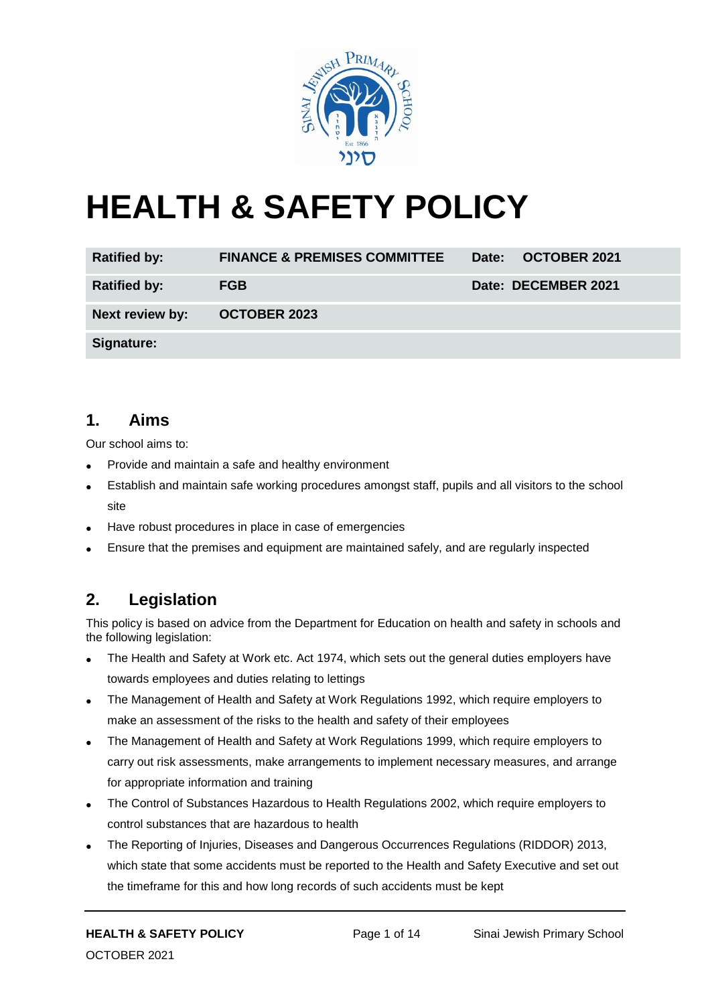

# **HEALTH & SAFETY POLICY**

| <b>Ratified by:</b> | <b>FINANCE &amp; PREMISES COMMITTEE</b> | Date: OCTOBER 2021  |
|---------------------|-----------------------------------------|---------------------|
| <b>Ratified by:</b> | <b>FGB</b>                              | Date: DECEMBER 2021 |
| Next review by:     | <b>OCTOBER 2023</b>                     |                     |
| Signature:          |                                         |                     |

#### **1. Aims**

Our school aims to:

- Provide and maintain a safe and healthy environment
- Establish and maintain safe working procedures amongst staff, pupils and all visitors to the school site
- Have robust procedures in place in case of emergencies
- Ensure that the premises and equipment are maintained safely, and are regularly inspected

## **2. Legislation**

This policy is based on advice from the Department for Education on health and safety in schools and the following legislation:

- The Health and Safety at Work etc. Act 1974, which sets out the general duties employers have towards employees and duties relating to lettings
- The Management of Health and Safety at Work Regulations 1992, which require employers to make an assessment of the risks to the health and safety of their employees
- The Management of Health and Safety at Work Regulations 1999, which require employers to carry out risk assessments, make arrangements to implement necessary measures, and arrange for appropriate information and training
- The Control of Substances Hazardous to Health Regulations 2002, which require employers to control substances that are hazardous to health
- The Reporting of Injuries, Diseases and Dangerous Occurrences Regulations (RIDDOR) 2013, which state that some accidents must be reported to the Health and Safety Executive and set out the timeframe for this and how long records of such accidents must be kept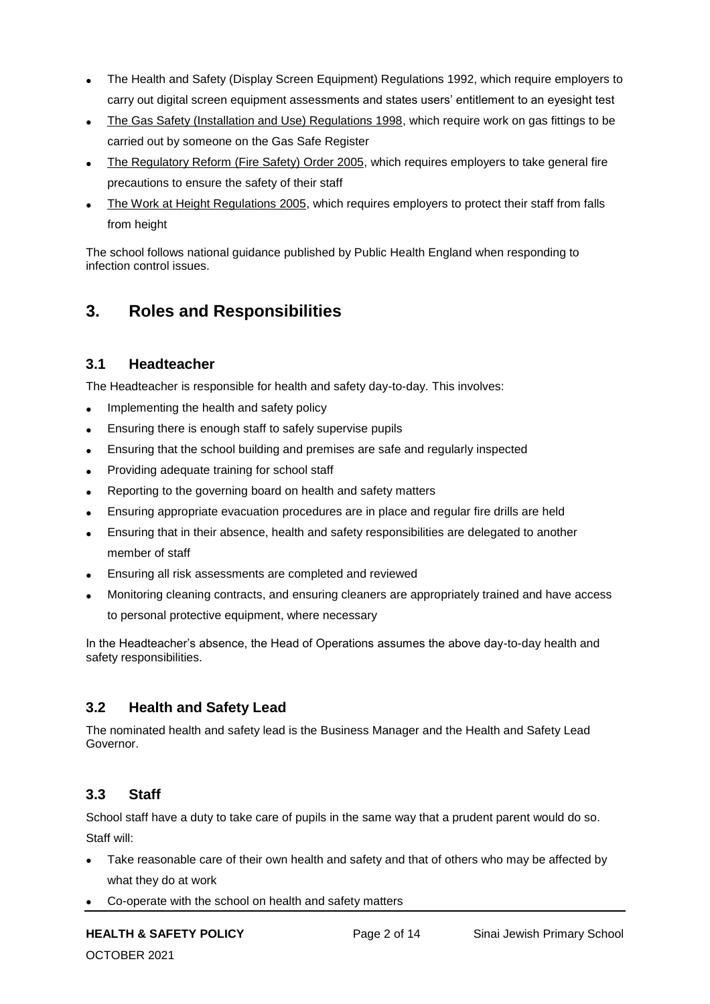- The Health and Safety (Display Screen Equipment) Regulations 1992, which require employers to carry out digital screen equipment assessments and states users' entitlement to an eyesight test
- The Gas Safety (Installation and Use) Regulations 1998, which require work on gas fittings to be carried out by someone on the Gas Safe Register
- The Regulatory Reform (Fire Safety) Order 2005, which requires employers to take general fire precautions to ensure the safety of their staff
- The Work at Height Regulations 2005, which requires employers to protect their staff from falls from height

The school follows national guidance published by Public Health England when responding to infection control issues.

## **3. Roles and Responsibilities**

#### **3.1 Headteacher**

The Headteacher is responsible for health and safety day-to-day. This involves:

- Implementing the health and safety policy
- Ensuring there is enough staff to safely supervise pupils
- Ensuring that the school building and premises are safe and regularly inspected
- Providing adequate training for school staff
- Reporting to the governing board on health and safety matters
- Ensuring appropriate evacuation procedures are in place and regular fire drills are held
- Ensuring that in their absence, health and safety responsibilities are delegated to another member of staff
- Ensuring all risk assessments are completed and reviewed
- Monitoring cleaning contracts, and ensuring cleaners are appropriately trained and have access to personal protective equipment, where necessary

In the Headteacher's absence, the Head of Operations assumes the above day-to-day health and safety responsibilities.

#### **3.2 Health and Safety Lead**

The nominated health and safety lead is the Business Manager and the Health and Safety Lead Governor.

#### **3.3 Staff**

School staff have a duty to take care of pupils in the same way that a prudent parent would do so. Staff will:

- Take reasonable care of their own health and safety and that of others who may be affected by what they do at work
- Co-operate with the school on health and safety matters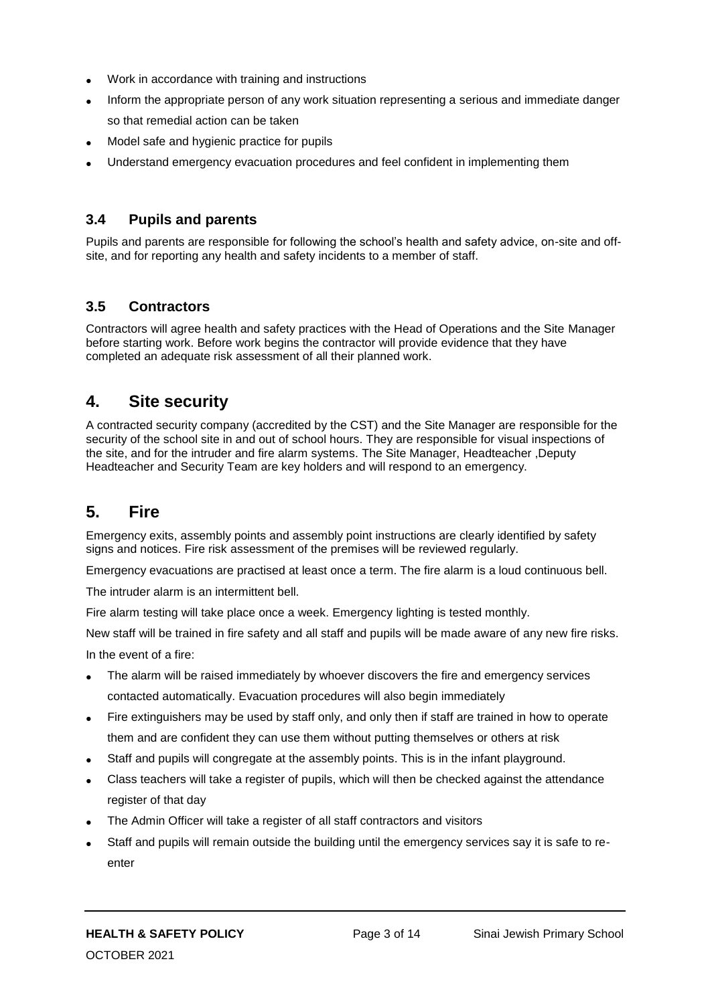- Work in accordance with training and instructions
- Inform the appropriate person of any work situation representing a serious and immediate danger so that remedial action can be taken
- Model safe and hygienic practice for pupils
- Understand emergency evacuation procedures and feel confident in implementing them

#### **3.4 Pupils and parents**

Pupils and parents are responsible for following the school's health and safety advice, on-site and offsite, and for reporting any health and safety incidents to a member of staff.

## **3.5 Contractors**

Contractors will agree health and safety practices with the Head of Operations and the Site Manager before starting work. Before work begins the contractor will provide evidence that they have completed an adequate risk assessment of all their planned work.

## **4. Site security**

A contracted security company (accredited by the CST) and the Site Manager are responsible for the security of the school site in and out of school hours. They are responsible for visual inspections of the site, and for the intruder and fire alarm systems. The Site Manager, Headteacher ,Deputy Headteacher and Security Team are key holders and will respond to an emergency.

## **5. Fire**

Emergency exits, assembly points and assembly point instructions are clearly identified by safety signs and notices. Fire risk assessment of the premises will be reviewed regularly.

Emergency evacuations are practised at least once a term. The fire alarm is a loud continuous bell.

The intruder alarm is an intermittent bell.

Fire alarm testing will take place once a week. Emergency lighting is tested monthly.

New staff will be trained in fire safety and all staff and pupils will be made aware of any new fire risks. In the event of a fire:

- The alarm will be raised immediately by whoever discovers the fire and emergency services contacted automatically. Evacuation procedures will also begin immediately
- Fire extinguishers may be used by staff only, and only then if staff are trained in how to operate them and are confident they can use them without putting themselves or others at risk
- Staff and pupils will congregate at the assembly points. This is in the infant playground.
- Class teachers will take a register of pupils, which will then be checked against the attendance register of that day
- The Admin Officer will take a register of all staff contractors and visitors
- Staff and pupils will remain outside the building until the emergency services say it is safe to reenter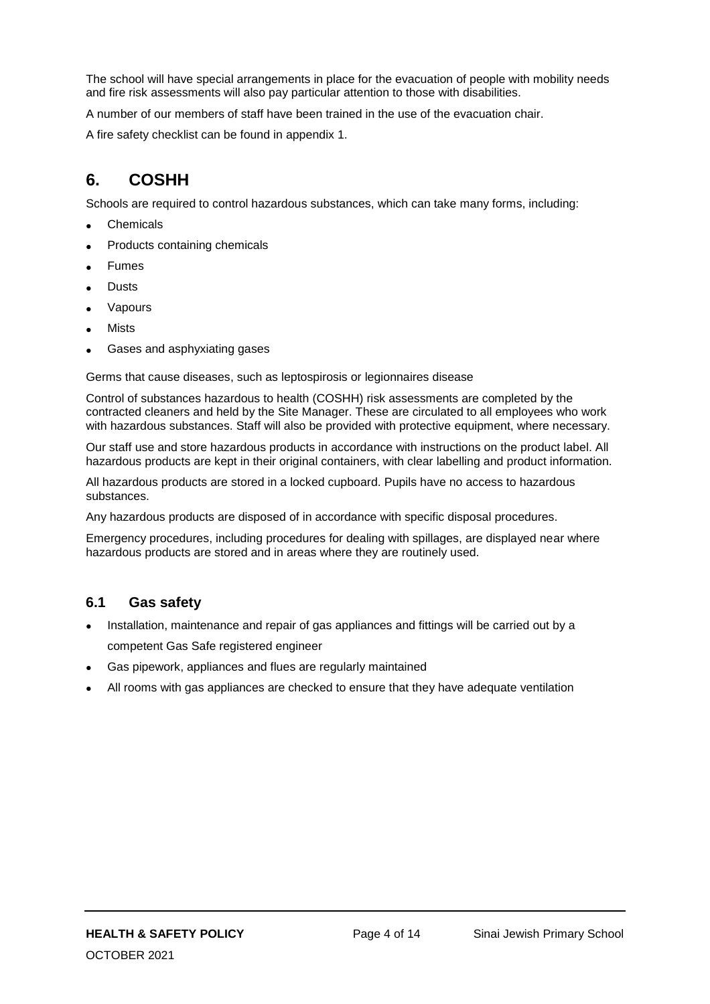The school will have special arrangements in place for the evacuation of people with mobility needs and fire risk assessments will also pay particular attention to those with disabilities.

A number of our members of staff have been trained in the use of the evacuation chair.

A fire safety checklist can be found in appendix 1.

## **6. COSHH**

Schools are required to control hazardous substances, which can take many forms, including:

- Chemicals
- Products containing chemicals
- Fumes
- Dusts
- Vapours
- Mists
- Gases and asphyxiating gases

Germs that cause diseases, such as leptospirosis or legionnaires disease

Control of substances hazardous to health (COSHH) risk assessments are completed by the contracted cleaners and held by the Site Manager. These are circulated to all employees who work with hazardous substances. Staff will also be provided with protective equipment, where necessary.

Our staff use and store hazardous products in accordance with instructions on the product label. All hazardous products are kept in their original containers, with clear labelling and product information.

All hazardous products are stored in a locked cupboard. Pupils have no access to hazardous substances.

Any hazardous products are disposed of in accordance with specific disposal procedures.

Emergency procedures, including procedures for dealing with spillages, are displayed near where hazardous products are stored and in areas where they are routinely used.

#### **6.1 Gas safety**

- Installation, maintenance and repair of gas appliances and fittings will be carried out by a competent Gas Safe registered engineer
- Gas pipework, appliances and flues are regularly maintained
- All rooms with gas appliances are checked to ensure that they have adequate ventilation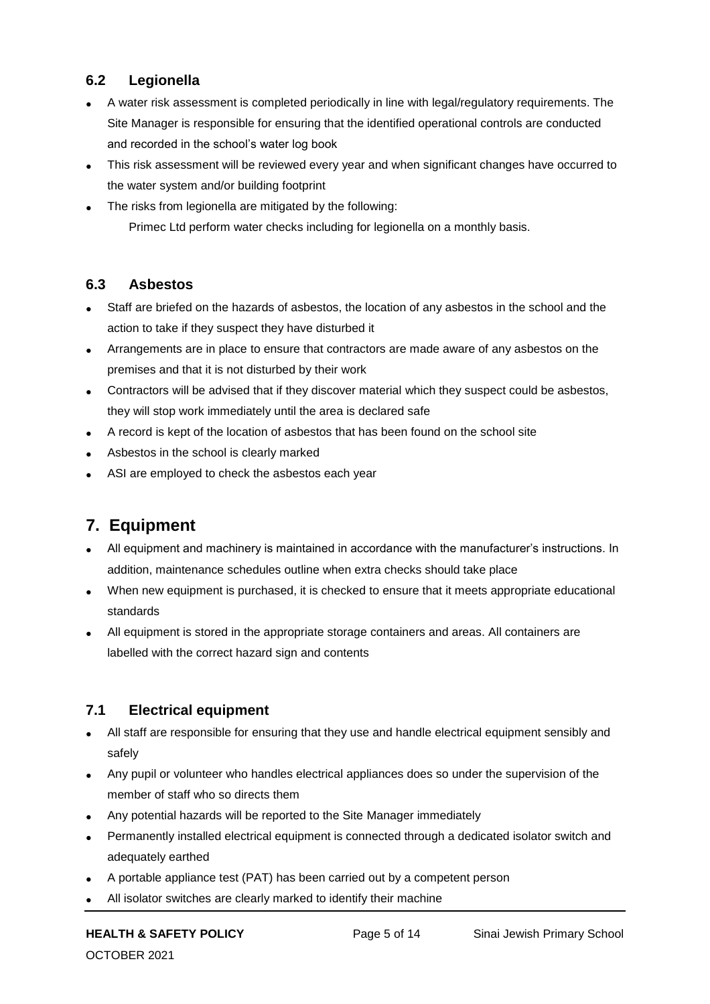#### **6.2 Legionella**

- A water risk assessment is completed periodically in line with legal/regulatory requirements. The Site Manager is responsible for ensuring that the identified operational controls are conducted and recorded in the school's water log book
- This risk assessment will be reviewed every year and when significant changes have occurred to the water system and/or building footprint
- The risks from legionella are mitigated by the following: Primec Ltd perform water checks including for legionella on a monthly basis.

#### **6.3 Asbestos**

- Staff are briefed on the hazards of asbestos, the location of any asbestos in the school and the action to take if they suspect they have disturbed it
- Arrangements are in place to ensure that contractors are made aware of any asbestos on the premises and that it is not disturbed by their work
- Contractors will be advised that if they discover material which they suspect could be asbestos, they will stop work immediately until the area is declared safe
- A record is kept of the location of asbestos that has been found on the school site
- Asbestos in the school is clearly marked
- ASI are employed to check the asbestos each year

## **7. Equipment**

- All equipment and machinery is maintained in accordance with the manufacturer's instructions. In addition, maintenance schedules outline when extra checks should take place
- When new equipment is purchased, it is checked to ensure that it meets appropriate educational standards
- All equipment is stored in the appropriate storage containers and areas. All containers are labelled with the correct hazard sign and contents

#### **7.1 Electrical equipment**

- All staff are responsible for ensuring that they use and handle electrical equipment sensibly and safely
- Any pupil or volunteer who handles electrical appliances does so under the supervision of the member of staff who so directs them
- Any potential hazards will be reported to the Site Manager immediately
- Permanently installed electrical equipment is connected through a dedicated isolator switch and adequately earthed
- A portable appliance test (PAT) has been carried out by a competent person
- All isolator switches are clearly marked to identify their machine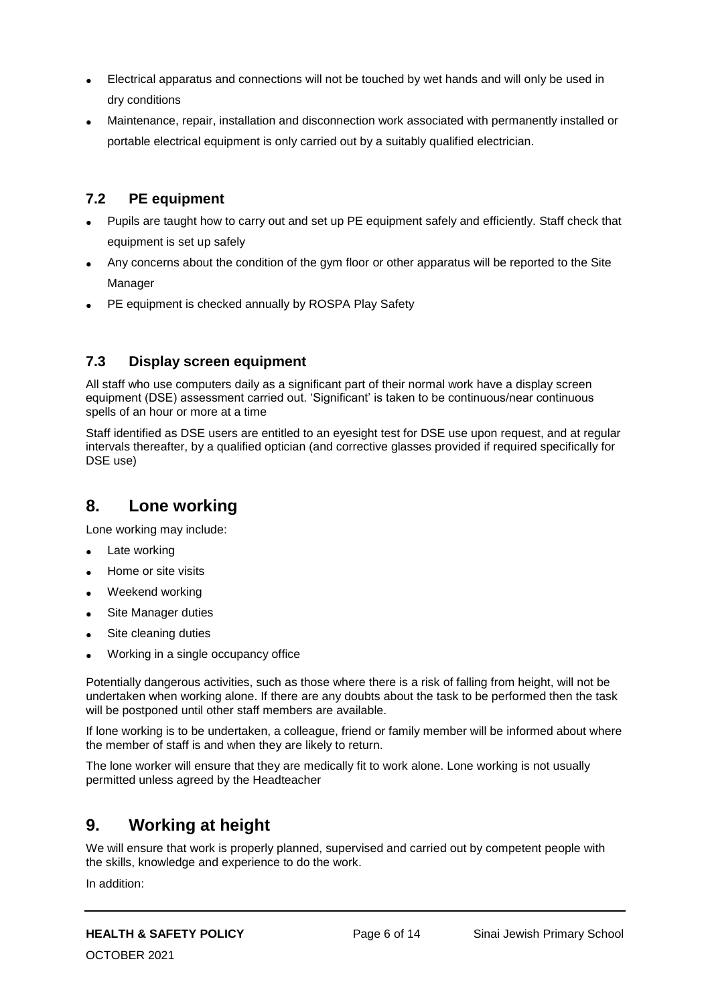- Electrical apparatus and connections will not be touched by wet hands and will only be used in dry conditions
- Maintenance, repair, installation and disconnection work associated with permanently installed or portable electrical equipment is only carried out by a suitably qualified electrician.

#### **7.2 PE equipment**

- Pupils are taught how to carry out and set up PE equipment safely and efficiently. Staff check that equipment is set up safely
- Any concerns about the condition of the gym floor or other apparatus will be reported to the Site Manager
- PE equipment is checked annually by ROSPA Play Safety

#### **7.3 Display screen equipment**

All staff who use computers daily as a significant part of their normal work have a display screen equipment (DSE) assessment carried out. 'Significant' is taken to be continuous/near continuous spells of an hour or more at a time

Staff identified as DSE users are entitled to an eyesight test for DSE use upon request, and at regular intervals thereafter, by a qualified optician (and corrective glasses provided if required specifically for DSE use)

## **8. Lone working**

Lone working may include:

- Late working
- Home or site visits
- Weekend working
- Site Manager duties
- Site cleaning duties
- Working in a single occupancy office

Potentially dangerous activities, such as those where there is a risk of falling from height, will not be undertaken when working alone. If there are any doubts about the task to be performed then the task will be postponed until other staff members are available.

If lone working is to be undertaken, a colleague, friend or family member will be informed about where the member of staff is and when they are likely to return.

The lone worker will ensure that they are medically fit to work alone. Lone working is not usually permitted unless agreed by the Headteacher

## **9. Working at height**

We will ensure that work is properly planned, supervised and carried out by competent people with the skills, knowledge and experience to do the work.

In addition: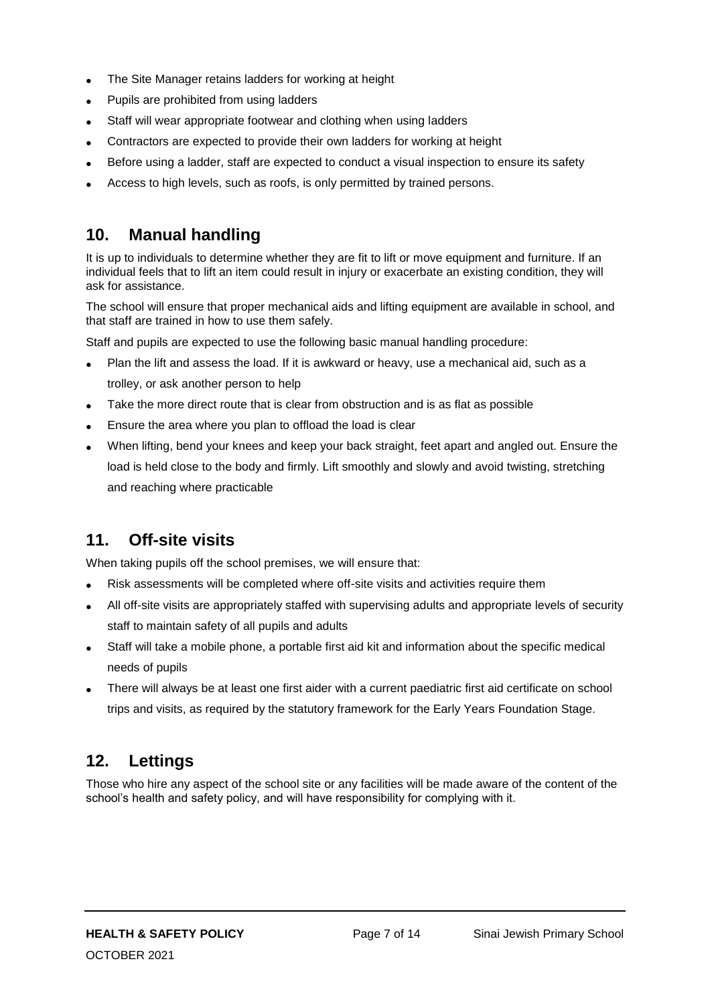- The Site Manager retains ladders for working at height
- Pupils are prohibited from using ladders
- Staff will wear appropriate footwear and clothing when using ladders
- Contractors are expected to provide their own ladders for working at height
- Before using a ladder, staff are expected to conduct a visual inspection to ensure its safety
- Access to high levels, such as roofs, is only permitted by trained persons.

## **10. Manual handling**

It is up to individuals to determine whether they are fit to lift or move equipment and furniture. If an individual feels that to lift an item could result in injury or exacerbate an existing condition, they will ask for assistance.

The school will ensure that proper mechanical aids and lifting equipment are available in school, and that staff are trained in how to use them safely.

Staff and pupils are expected to use the following basic manual handling procedure:

- Plan the lift and assess the load. If it is awkward or heavy, use a mechanical aid, such as a trolley, or ask another person to help
- Take the more direct route that is clear from obstruction and is as flat as possible
- Ensure the area where you plan to offload the load is clear
- When lifting, bend your knees and keep your back straight, feet apart and angled out. Ensure the load is held close to the body and firmly. Lift smoothly and slowly and avoid twisting, stretching and reaching where practicable

## **11. Off-site visits**

When taking pupils off the school premises, we will ensure that:

- Risk assessments will be completed where off-site visits and activities require them
- All off-site visits are appropriately staffed with supervising adults and appropriate levels of security staff to maintain safety of all pupils and adults
- Staff will take a mobile phone, a portable first aid kit and information about the specific medical needs of pupils
- There will always be at least one first aider with a current paediatric first aid certificate on school trips and visits, as required by the statutory framework for the Early Years Foundation Stage.

## **12. Lettings**

Those who hire any aspect of the school site or any facilities will be made aware of the content of the school's health and safety policy, and will have responsibility for complying with it.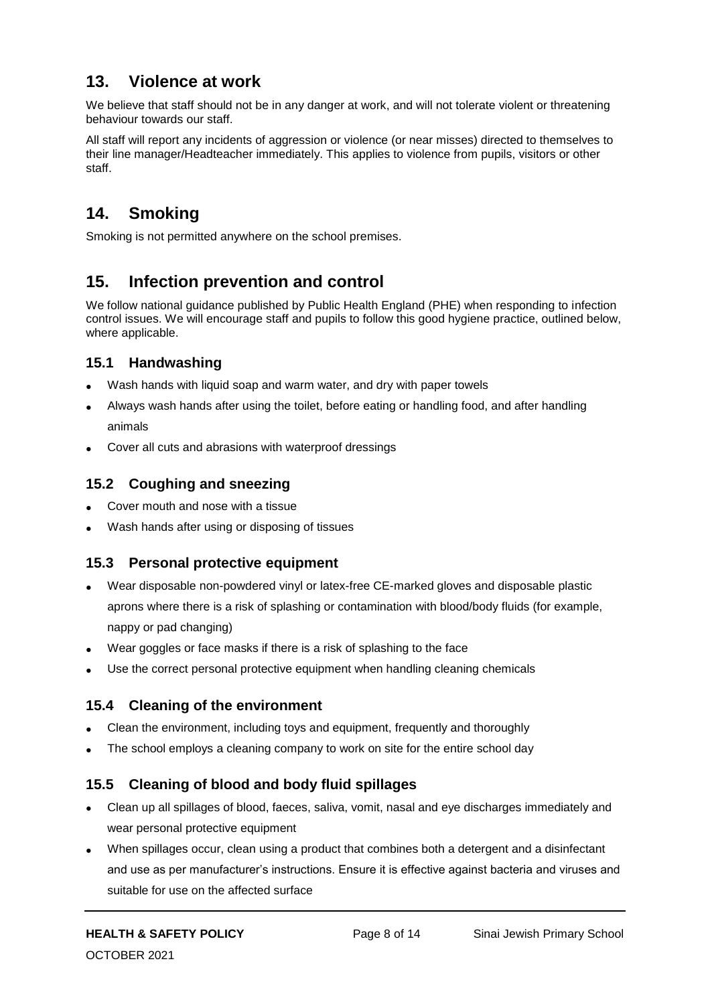## **13. Violence at work**

We believe that staff should not be in any danger at work, and will not tolerate violent or threatening behaviour towards our staff.

All staff will report any incidents of aggression or violence (or near misses) directed to themselves to their line manager/Headteacher immediately. This applies to violence from pupils, visitors or other staff.

# **14. Smoking**

Smoking is not permitted anywhere on the school premises.

## **15. Infection prevention and control**

We follow national guidance published by Public Health England (PHE) when responding to infection control issues. We will encourage staff and pupils to follow this good hygiene practice, outlined below, where applicable.

#### **15.1 Handwashing**

- Wash hands with liquid soap and warm water, and dry with paper towels
- Always wash hands after using the toilet, before eating or handling food, and after handling animals
- Cover all cuts and abrasions with waterproof dressings

#### **15.2 Coughing and sneezing**

- Cover mouth and nose with a tissue
- Wash hands after using or disposing of tissues

#### **15.3 Personal protective equipment**

- Wear disposable non-powdered vinyl or latex-free CE-marked gloves and disposable plastic aprons where there is a risk of splashing or contamination with blood/body fluids (for example, nappy or pad changing)
- Wear goggles or face masks if there is a risk of splashing to the face
- Use the correct personal protective equipment when handling cleaning chemicals

#### **15.4 Cleaning of the environment**

- Clean the environment, including toys and equipment, frequently and thoroughly
- The school employs a cleaning company to work on site for the entire school day

#### **15.5 Cleaning of blood and body fluid spillages**

- Clean up all spillages of blood, faeces, saliva, vomit, nasal and eye discharges immediately and wear personal protective equipment
- When spillages occur, clean using a product that combines both a detergent and a disinfectant and use as per manufacturer's instructions. Ensure it is effective against bacteria and viruses and suitable for use on the affected surface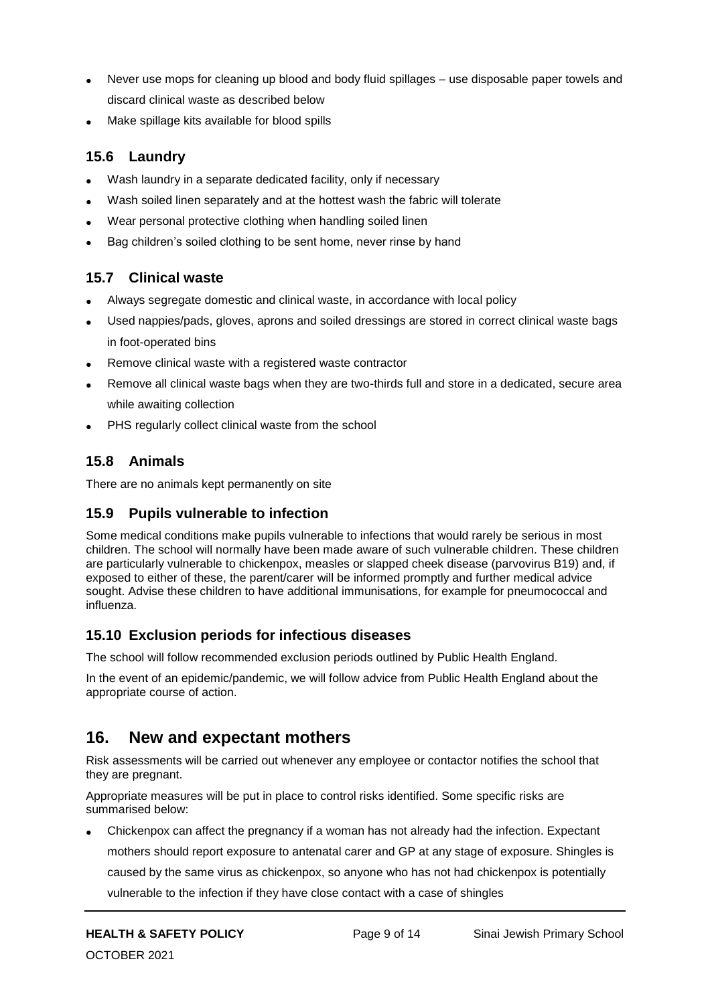- Never use mops for cleaning up blood and body fluid spillages use disposable paper towels and discard clinical waste as described below
- Make spillage kits available for blood spills

#### **15.6 Laundry**

- Wash laundry in a separate dedicated facility, only if necessary
- Wash soiled linen separately and at the hottest wash the fabric will tolerate
- Wear personal protective clothing when handling soiled linen
- Bag children's soiled clothing to be sent home, never rinse by hand

#### **15.7 Clinical waste**

- Always segregate domestic and clinical waste, in accordance with local policy
- Used nappies/pads, gloves, aprons and soiled dressings are stored in correct clinical waste bags in foot-operated bins
- Remove clinical waste with a registered waste contractor
- Remove all clinical waste bags when they are two-thirds full and store in a dedicated, secure area while awaiting collection
- PHS regularly collect clinical waste from the school

#### **15.8 Animals**

There are no animals kept permanently on site

#### **15.9 Pupils vulnerable to infection**

Some medical conditions make pupils vulnerable to infections that would rarely be serious in most children. The school will normally have been made aware of such vulnerable children. These children are particularly vulnerable to chickenpox, measles or slapped cheek disease (parvovirus B19) and, if exposed to either of these, the parent/carer will be informed promptly and further medical advice sought. Advise these children to have additional immunisations, for example for pneumococcal and influenza.

#### **15.10 Exclusion periods for infectious diseases**

The school will follow recommended exclusion periods outlined by Public Health England.

In the event of an epidemic/pandemic, we will follow advice from Public Health England about the appropriate course of action.

## **16. New and expectant mothers**

Risk assessments will be carried out whenever any employee or contactor notifies the school that they are pregnant.

Appropriate measures will be put in place to control risks identified. Some specific risks are summarised below:

 Chickenpox can affect the pregnancy if a woman has not already had the infection. Expectant mothers should report exposure to antenatal carer and GP at any stage of exposure. Shingles is caused by the same virus as chickenpox, so anyone who has not had chickenpox is potentially

vulnerable to the infection if they have close contact with a case of shingles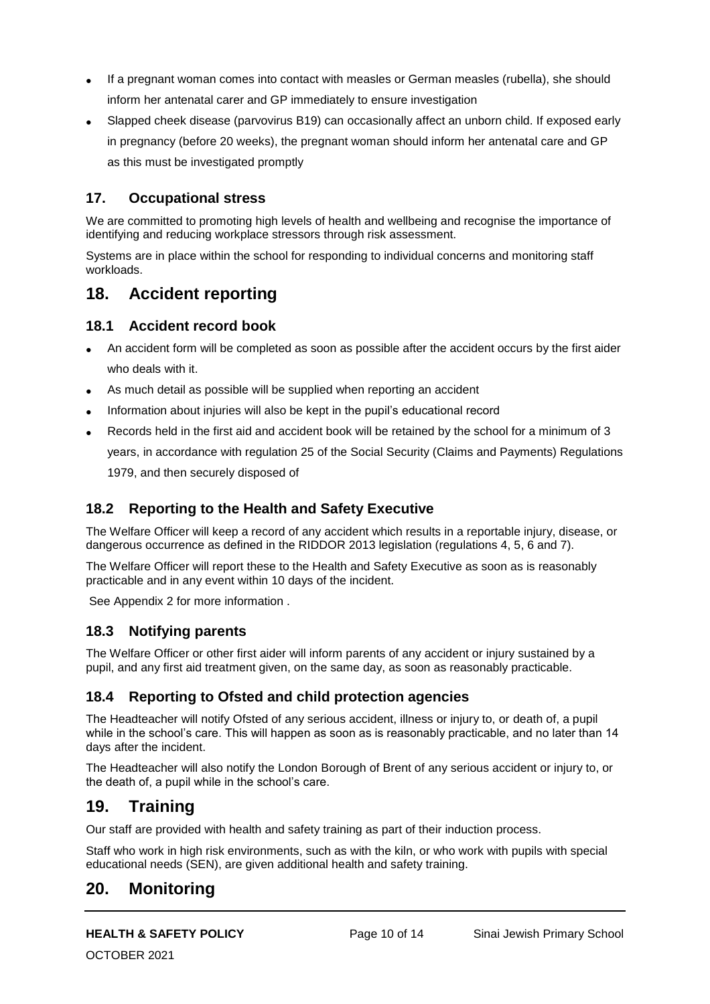- If a pregnant woman comes into contact with measles or German measles (rubella), she should inform her antenatal carer and GP immediately to ensure investigation
- Slapped cheek disease (parvovirus B19) can occasionally affect an unborn child. If exposed early in pregnancy (before 20 weeks), the pregnant woman should inform her antenatal care and GP as this must be investigated promptly

#### **17. Occupational stress**

We are committed to promoting high levels of health and wellbeing and recognise the importance of identifying and reducing workplace stressors through risk assessment.

Systems are in place within the school for responding to individual concerns and monitoring staff workloads.

## **18. Accident reporting**

#### **18.1 Accident record book**

- An accident form will be completed as soon as possible after the accident occurs by the first aider who deals with it.
- As much detail as possible will be supplied when reporting an accident
- Information about injuries will also be kept in the pupil's educational record
- Records held in the first aid and accident book will be retained by the school for a minimum of 3 years, in accordance with regulation 25 of the Social Security (Claims and Payments) Regulations 1979, and then securely disposed of

#### **18.2 Reporting to the Health and Safety Executive**

The Welfare Officer will keep a record of any accident which results in a reportable injury, disease, or dangerous occurrence as defined in the RIDDOR 2013 legislation (regulations 4, 5, 6 and 7).

The Welfare Officer will report these to the Health and Safety Executive as soon as is reasonably practicable and in any event within 10 days of the incident.

See Appendix 2 for more information .

#### **18.3 Notifying parents**

The Welfare Officer or other first aider will inform parents of any accident or injury sustained by a pupil, and any first aid treatment given, on the same day, as soon as reasonably practicable.

#### **18.4 Reporting to Ofsted and child protection agencies**

The Headteacher will notify Ofsted of any serious accident, illness or injury to, or death of, a pupil while in the school's care. This will happen as soon as is reasonably practicable, and no later than 14 days after the incident.

The Headteacher will also notify the London Borough of Brent of any serious accident or injury to, or the death of, a pupil while in the school's care.

## **19. Training**

Our staff are provided with health and safety training as part of their induction process.

Staff who work in high risk environments, such as with the kiln, or who work with pupils with special educational needs (SEN), are given additional health and safety training.

## **20. Monitoring**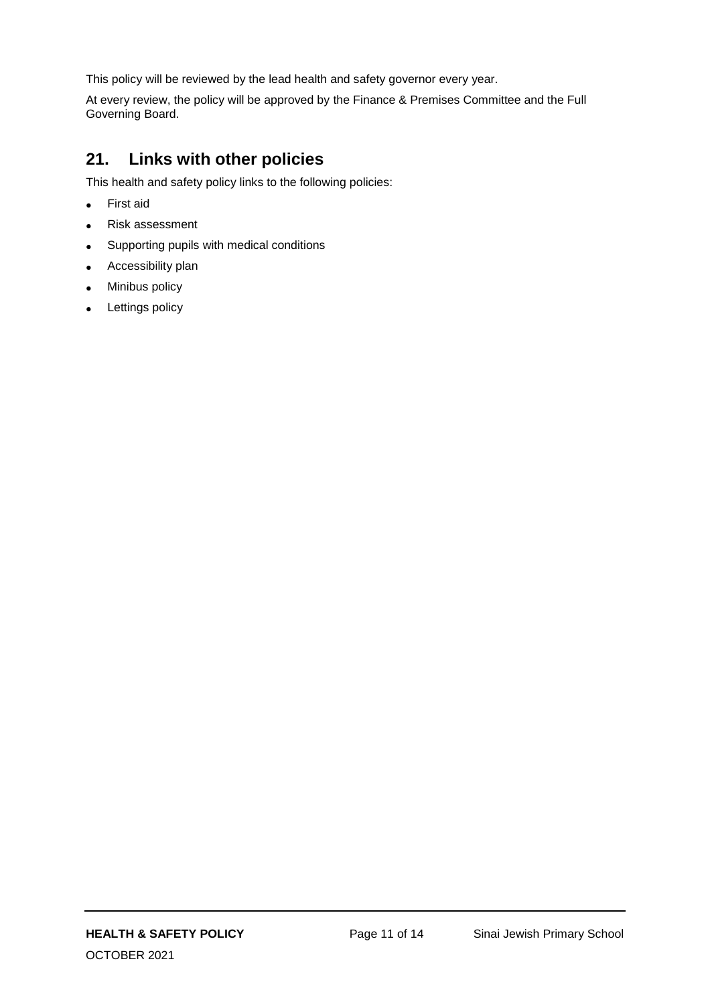This policy will be reviewed by the lead health and safety governor every year.

At every review, the policy will be approved by the Finance & Premises Committee and the Full Governing Board.

## **21. Links with other policies**

This health and safety policy links to the following policies:

- First aid
- Risk assessment
- Supporting pupils with medical conditions
- Accessibility plan
- Minibus policy
- Lettings policy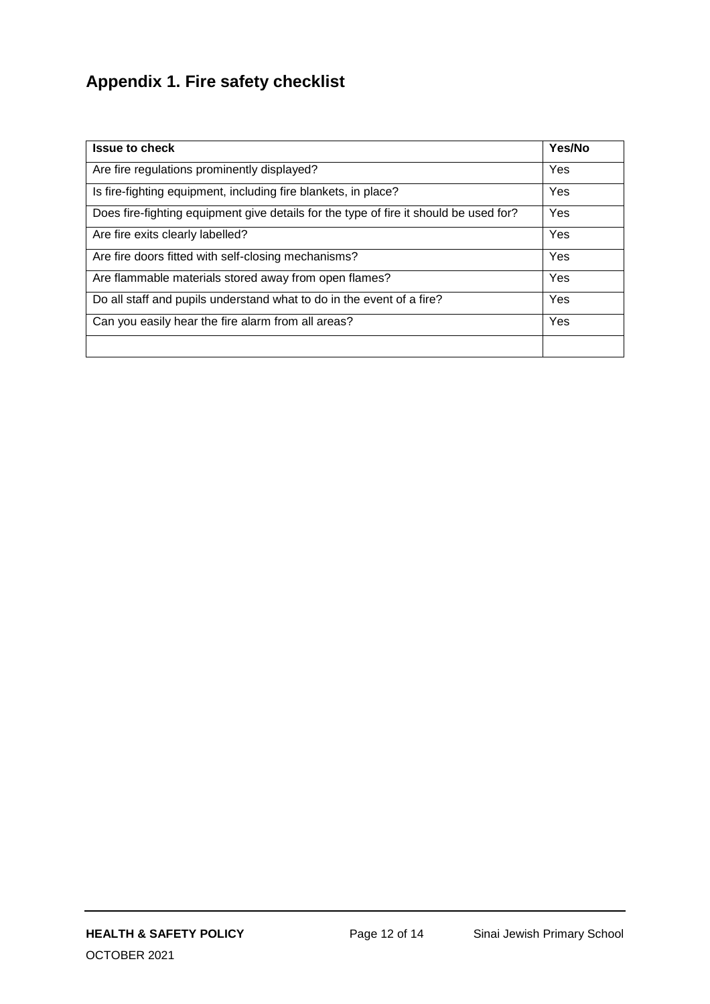# **Appendix 1. Fire safety checklist**

| <b>Issue to check</b>                                                                 | Yes/No |
|---------------------------------------------------------------------------------------|--------|
| Are fire regulations prominently displayed?                                           | Yes    |
| Is fire-fighting equipment, including fire blankets, in place?                        | Yes    |
| Does fire-fighting equipment give details for the type of fire it should be used for? | Yes    |
| Are fire exits clearly labelled?                                                      | Yes    |
| Are fire doors fitted with self-closing mechanisms?                                   | Yes    |
| Are flammable materials stored away from open flames?                                 | Yes    |
| Do all staff and pupils understand what to do in the event of a fire?                 | Yes    |
| Can you easily hear the fire alarm from all areas?                                    | Yes    |
|                                                                                       |        |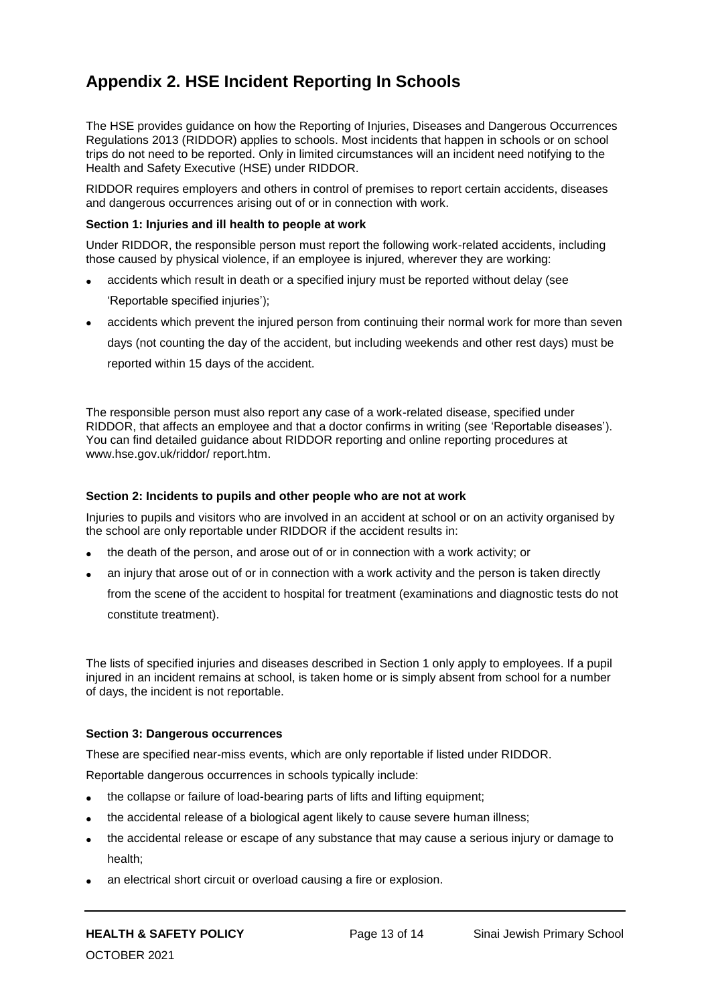# **Appendix 2. HSE Incident Reporting In Schools**

The HSE provides guidance on how the Reporting of Injuries, Diseases and Dangerous Occurrences Regulations 2013 (RIDDOR) applies to schools. Most incidents that happen in schools or on school trips do not need to be reported. Only in limited circumstances will an incident need notifying to the Health and Safety Executive (HSE) under RIDDOR.

RIDDOR requires employers and others in control of premises to report certain accidents, diseases and dangerous occurrences arising out of or in connection with work.

#### **Section 1: Injuries and ill health to people at work**

Under RIDDOR, the responsible person must report the following work-related accidents, including those caused by physical violence, if an employee is injured, wherever they are working:

- accidents which result in death or a specified injury must be reported without delay (see 'Reportable specified injuries');
- accidents which prevent the injured person from continuing their normal work for more than seven days (not counting the day of the accident, but including weekends and other rest days) must be reported within 15 days of the accident.

The responsible person must also report any case of a work-related disease, specified under RIDDOR, that affects an employee and that a doctor confirms in writing (see 'Reportable diseases'). You can find detailed guidance about RIDDOR reporting and online reporting procedures at www.hse.gov.uk/riddor/ report.htm.

#### **Section 2: Incidents to pupils and other people who are not at work**

Injuries to pupils and visitors who are involved in an accident at school or on an activity organised by the school are only reportable under RIDDOR if the accident results in:

- the death of the person, and arose out of or in connection with a work activity; or
- an injury that arose out of or in connection with a work activity and the person is taken directly

from the scene of the accident to hospital for treatment (examinations and diagnostic tests do not constitute treatment).

The lists of specified injuries and diseases described in Section 1 only apply to employees. If a pupil injured in an incident remains at school, is taken home or is simply absent from school for a number of days, the incident is not reportable.

#### **Section 3: Dangerous occurrences**

These are specified near-miss events, which are only reportable if listed under RIDDOR.

Reportable dangerous occurrences in schools typically include:

- the collapse or failure of load-bearing parts of lifts and lifting equipment;
- the accidental release of a biological agent likely to cause severe human illness;
- the accidental release or escape of any substance that may cause a serious injury or damage to health;
- an electrical short circuit or overload causing a fire or explosion.